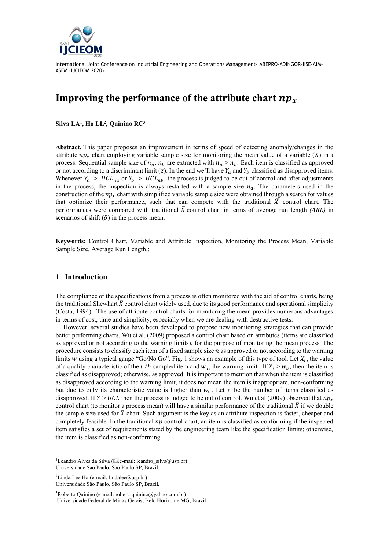

# **Improving the performance of the attribute chart**

**Silva LA<sup>1</sup> , Ho LL<sup>2</sup> , Quinino RC<sup>3</sup>**

**Abstract.** This paper proposes an improvement in terms of speed of detecting anomaly/changes in the attribute  $np<sub>x</sub>$  chart employing variable sample size for monitoring the mean value of a variable (X) in a process. Sequential sample size of  $n_a$ ,  $n_b$  are extracted with  $n_a > n_b$ . Each item is classified as approved or not according to a discriminant limit (z). In the end we'll have  $Y_a$  and  $Y_b$  classified as disapproved items. Whenever  $Y_a > UCL_{na}$  or  $Y_b > UCL_{nb}$ , the process is judged to be out of control and after adjustments in the process, the inspection is always restarted with a sample size  $n_a$ . The parameters used in the construction of the  $np_x$  chart with simplified variable sample size were obtained through a search for values that optimize their performance, such that can compete with the traditional  $\bar{X}$  control chart. The performances were compared with traditional  $\bar{X}$  control chart in terms of average run length *(ARL)* in scenarios of shift  $(\delta)$  in the process mean.

**Keywords:** Control Chart, Variable and Attribute Inspection, Monitoring the Process Mean, Variable Sample Size, Average Run Length.;

### **1 Introduction**

The compliance of the specifications from a process is often monitored with the aid of control charts, being the traditional Shewhart  $\bar{X}$  control chart widely used, due to its good performance and operational simplicity (Costa, 1994). The use of attribute control charts for monitoring the mean provides numerous advantages in terms of cost, time and simplicity, especially when we are dealing with destructive tests.

However, several studies have been developed to propose new monitoring strategies that can provide better performing charts. Wu et al. (2009) proposed a control chart based on attributes (items are classified as approved or not according to the warning limits), for the purpose of monitoring the mean process. The procedure consists to classify each item of a fixed sample size *n* as approved or not according to the warning limits w using a typical gauge "Go/No Go". Fig. 1 shows an example of this type of tool. Let  $X_i$ , the value of a quality characteristic of the *i-th* sampled item and  $w_u$ , the warning limit. If  $X_i > w_u$ , then the item is classified as disapproved; otherwise, as approved. It is important to mention that when the item is classified as disapproved according to the warning limit, it does not mean the item is inappropriate, non-conforming but due to only its characteristic value is higher than  $w_u$ . Let Y be the number of items classified as disapproved. If  $Y > UCL$  then the process is judged to be out of control. Wu et al (2009) observed that  $np_x$ control chart (to monitor a process mean) will have a similar performance of the traditional  $\bar{X}$  if we double the sample size used for  $\bar{X}$  chart. Such argument is the key as an attribute inspection is faster, cheaper and completely feasible. In the traditional  $np$  control chart, an item is classified as conforming if the inspected item satisfies a set of requirements stated by the engineering team like the specification limits; otherwise, the item is classified as non-conforming.

<sup>2</sup>Linda Lee Ho (e-mail: lindalee@usp.br) Universidade São Paulo, São Paulo SP, Brazil.

<sup>3</sup>Roberto Quinino (e-mail: robertoquinino@yahoo.com.br) Universidade Federal de Minas Gerais, Belo Horizonte MG, Brazil

<sup>&</sup>lt;sup>1</sup>Leandro Alves da Silva ( $\boxtimes$ e-mail: leandro\_silva@usp.br) Universidade São Paulo, São Paulo SP, Brazil.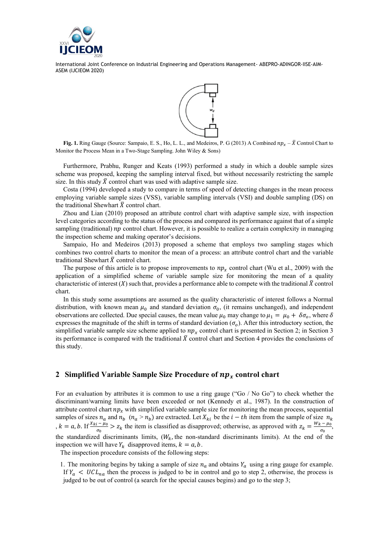



**Fig. 1.** Ring Gauge (Source: Sampaio, E. S., Ho, L. L., and Medeiros, P. G (2013) A Combined  $np_r - \overline{X}$  Control Chart to Monitor the Process Mean in a Two-Stage Sampling. John Wiley & Sons)

Furthermore, Prabhu, Runger and Keats (1993) performed a study in which a double sample sizes scheme was proposed, keeping the sampling interval fixed, but without necessarily restricting the sample size. In this study  $\bar{X}$  control chart was used with adaptive sample size.

Costa (1994) developed a study to compare in terms of speed of detecting changes in the mean process employing variable sample sizes (VSS), variable sampling intervals (VSI) and double sampling (DS) on the traditional Shewhart  $\bar{X}$  control chart.

Zhou and Lian (2010) proposed an attribute control chart with adaptive sample size, with inspection level categories according to the status of the process and compared its performance against that of a simple sampling (traditional)  $np$  control chart. However, it is possible to realize a certain complexity in managing the inspection scheme and making operator's decisions.

Sampaio, Ho and Medeiros (2013) proposed a scheme that employs two sampling stages which combines two control charts to monitor the mean of a process: an attribute control chart and the variable traditional Shewhart  $\bar{X}$  control chart.

The purpose of this article is to propose improvements to  $np_x$  control chart (Wu et al., 2009) with the application of a simplified scheme of variable sample size for monitoring the mean of a quality characteristic of interest  $(X)$  such that, provides a performance able to compete with the traditional  $\overline{X}$  control chart.

In this study some assumptions are assumed as the quality characteristic of interest follows a Normal distribution, with known mean  $\mu_0$  and standard deviation  $\sigma_0$ , (it remains unchanged), and independent observations are collected. Due special causes, the mean value  $\mu_0$  may change to  $\mu_1 = \mu_0 + \delta \sigma_0$ , where  $\delta$ expresses the magnitude of the shift in terms of standard deviation  $(\sigma_o)$ . After this introductory section, the simplified variable sample size scheme applied to  $np_x$  control chart is presented in Section 2; in Section 3 its performance is compared with the traditional  $\bar{X}$  control chart and Section 4 provides the conclusions of this study.

## **2** Simplified Variable Sample Size Procedure of  $np_r$  control chart

For an evaluation by attributes it is common to use a ring gauge ("Go / No Go") to check whether the discriminant/warning limits have been exceeded or not (Kennedy et al., 1987). In the construction of attribute control chart  $np_x$  with simplified variable sample size for monitoring the mean process, sequential samples of sizes  $n_a$  and  $n_b$   $(n_a > n_b)$  are extracted. Let  $X_{ki}$  be the  $i-th$  item from the sample of size  $n_k$ ,  $k = a, b$ . If  $\frac{x_{ki} - \mu_0}{\sigma_0} > z_k$  the item is classified as disapproved; otherwise, as approved with  $z_k = \frac{w_k - \mu_0}{\sigma_0}$  $rac{\epsilon - \mu_0}{\sigma_0},$ the standardized discriminants limits,  $(W_k)$ , the non-standard discriminants limits). At the end of the inspection we will have  $Y_k$  disapproved items,  $k = a, b$ .

The inspection procedure consists of the following steps:

1. The monitoring begins by taking a sample of size  $n_a$  and obtains  $Y_a$  using a ring gauge for example. If  $Y_a \leq UCL_{na}$  then the process is judged to be in control and go to step 2, otherwise, the process is judged to be out of control (a search for the special causes begins) and go to the step 3;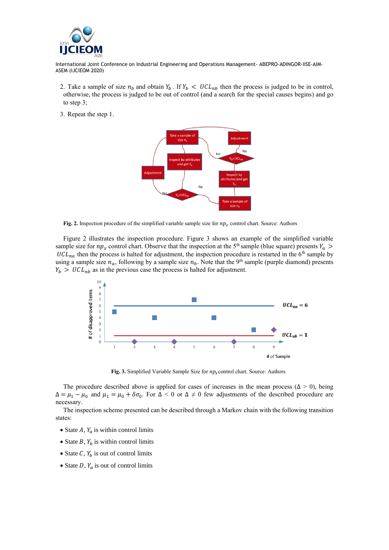

- 2. Take a sample of size  $n_b$  and obtain  $Y_b$ . If  $Y_b < UCL_{nb}$  then the process is judged to be in control, otherwise, the process is judged to be out of control (and a search for the special causes begins) and go to step 3;
- 3. Repeat the step 1.



**Fig. 2.** Inspection procedure of the simplified variable sample size for  $np_x$  control chart. Source: Authors

Figure 2 illustrates the inspection procedure. Figure 3 shows an example of the simplified variable sample size for  $np_x$  control chart. Observe that the inspection at the 5<sup>th</sup> sample (blue square) presents  $Y_a$  $UCL_{na}$  then the process is halted for adjustment, the inspection procedure is restarted in the 6<sup>th</sup> sample by using a sample size  $n_a$ , following by a sample size  $n_b$ . Note that the 9<sup>th</sup> sample (purple diamond) presents  $Y_h > UCL_{nh}$  as in the previous case the process is halted for adjustment.



**Fig. 3.** Simplified Variable Sample Size for  $np_x$  control chart. Source: Authors

The procedure described above is applied for cases of increases in the mean process ( $\Delta > 0$ ), being  $\Delta = \mu_1 - \mu_0$  and  $\mu_1 = \mu_0 + \delta \sigma_0$ . For  $\Delta < 0$  or  $\Delta \neq 0$  few adjustments of the described procedure are necessary.

The inspection scheme presented can be described through a Markov chain with the following transition states:

- State A,  $Y_a$  is within control limits
- State  $B$ ,  $Y_b$  is within control limits
- State C,  $Y_b$  is out of control limits
- State D,  $Y_a$  is out of control limits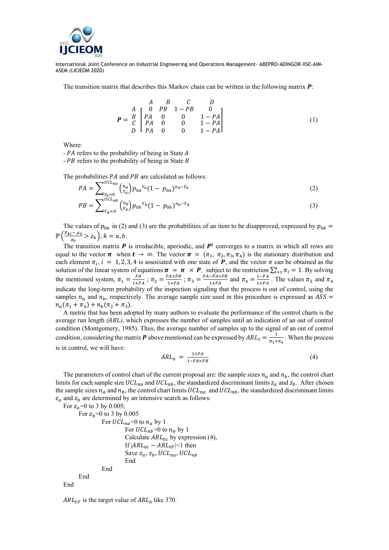

The transition matrix that describes this Markov chain can be written in the following matrix  $P$ :

$$
P = \begin{array}{c c c c c c c c c c c c c c} & A & B & C & D \\ A & 0 & PB & 1-PB & 0 \\ B & P A & 0 & 0 & 1-PA \\ D & P A & 0 & 0 & 1-PA \\ \end{array}
$$
 (1)

Where:

 $- PA$  refers to the probability of being in State  $A$ 

 $-$  *PB* refers to the probability of being in State *B* 

The probabilities  $PA$  and  $PB$  are calculated as follows:

$$
PA = \sum_{\substack{Y_a = 0 \\ U C I}}^{\sum_{l} U C l_a} \binom{n_a}{Y_a} p_{0a}^{Y_a} (1 - p_{0a})^{n_a - Y_a} \tag{2}
$$

$$
PB = \sum_{Y_b=0}^{UCL_{nb}} \binom{n_b}{Y_b} p_{0b}^{Y_b} (1 - p_{0b})^{n_b - Y_b}
$$
\n(3)

The values of  $p_{0k}$  in (2) and (3) are the probabilities of an item to be disapproved, expressed by  $p_{0k}$  =  $\mathbb{P}\left(\frac{X_{ki}-\mu_0}{\sigma}\right)$  $\frac{a^{2}-\mu_{0}}{\sigma_{0}} > z_{k}$ ,  $k = a, b$ .

The transition matrix  $P$  is irreducible, aperiodic, and  $P<sup>t</sup>$  converges to a matrix in which all rows are equal to the vector  $\pi$  when  $t \to \infty$ . The vector  $\pi = (\pi_1, \pi_2, \pi_3, \pi_4)$  is the stationary distribution and each element  $\pi_i$ ,  $i = 1, 2, 3, 4$  is associated with one state of **P**, and the vector  $\pi$  can be obtained as the solution of the linear system of equations  $\pi = \pi \times P$ , subject to the restriction  $\sum_{i=1}^{4} \pi_i = 1$ . By solving the mentioned system,  $\pi_1 = \frac{PA}{1+P}$  $\frac{PA}{1+PA}$ ;  $\pi_2 = \frac{P A \times PB}{1+PA}$  $\frac{P_{A\times PB}}{1+PA}$ ;  $\pi_3 = \frac{PA-PA\times PB}{1+PA}$  $\frac{-P A \times P B}{1 + P A}$  and  $\pi_4 = \frac{1 - P A}{1 + P A}$  $\frac{1-PA}{1+PA}$ . The values  $\pi_3$  and  $\pi_4$ indicate the long-term probability of the inspection signaling that the process is out of control, using the samples  $n_a$  and  $n_b$ , respectively. The average sample size used in this procedure is expressed as  $\text{ASS} =$  $n_a(\pi_1 + \pi_4) + n_b(\pi_2 + \pi_3).$ 

A metric that has been adopted by many authors to evaluate the performance of the control charts is the average run length *(ARL)*, which expresses the number of samples until an indication of an out of control condition (Montgomery, 1985). Thus, the average number of samples up to the signal of an out of control condition, considering the matrix **P** above mentioned can be expressed by  $ARL_1 = \frac{1}{\pi a}$  $\frac{1}{\pi_3 + \pi_4}$ . When the process is in control, we will have:

$$
ARL_0 = \frac{1+PA}{1-PA \times PB} \tag{4}
$$

The parameters of control chart of the current proposal are: the sample sizes  $n_a$  and  $n_b$ , the control chart limits for each sample size  $UCL_{na}$  and  $UCL_{nb}$ , the standardized discriminant limits  $z_a$  and  $z_b$ . After chosen the sample sizes  $n_a$  and  $n_b$ , the control chart limits  $UCL_{na}$  and  $UCL_{nb}$ , the standardized discriminant limits  $z_a$  and  $z_b$  are determined by an intensive search as follows:

For  $z_a$ =0 to 3 by 0.005; For  $z_h$ =0 to 3 by 0.005 For  $UCL_{na}=0$  to  $n_a$  by 1 For  $UCL_{nb} = 0$  to  $n_b$  by 1 Calculate  $ARL_{0c}$  by expression (4), If  $|ARL_{0c} - ARL_{0T}| < 1$  then Save  $z_a$ ,  $z_b$ , UCL<sub>na</sub>, UCL<sub>nb</sub> End End End End

 $ARL_{0T}$  is the target value of  $ARL_0$  like 370.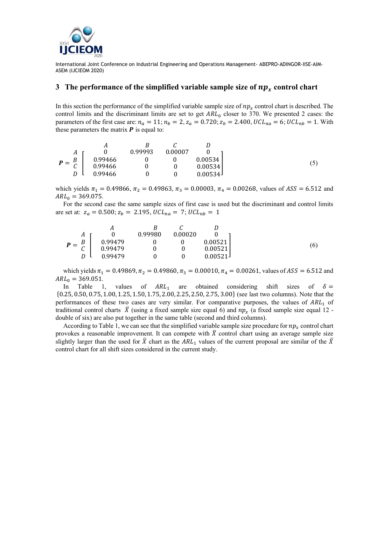

#### **3** The performance of the simplified variable sample size of  $np_x$  control chart

In this section the performance of the simplified variable sample size of  $np_r$  control chart is described. The control limits and the discriminant limits are set to get  $ARL<sub>0</sub>$  closer to 370. We presented 2 cases: the parameters of the first case are:  $n_a = 11$ ;  $n_b = 2$ ,  $z_a = 0.720$ ;  $z_b = 2.400$ ,  $UCL_{na} = 6$ ;  $UCL_{nb} = 1$ . With these parameters the matrix  $\bm{P}$  is equal to:

|                                  | А       | В       |         |         |
|----------------------------------|---------|---------|---------|---------|
| A<br>$P = \frac{B}{C}$<br>ັ<br>D |         | 0.99993 | 0.00007 |         |
|                                  | 0.99466 |         |         | 0.00534 |
|                                  | 0.99466 |         |         | 0.00534 |
|                                  | 0.99466 |         |         | 0.00534 |

which yields  $\pi_1 = 0.49866$ ,  $\pi_2 = 0.49863$ ,  $\pi_3 = 0.00003$ ,  $\pi_4 = 0.00268$ , values of  $ASS = 6.512$  and  $ARL<sub>0</sub> = 369.075.$ 

For the second case the same sample sizes of first case is used but the discriminant and control limits are set at:  $z_a = 0.500$ ;  $z_b = 2.195$ ,  $UCL_{na} = 7$ ;  $UCL_{nb} = 1$ 

$$
P = \begin{array}{c c c c c c c c c c c} & A & B & C & D \\ A & 0 & 0.99980 & 0.00020 & 0 \\ C & 0.99479 & 0 & 0 & 0.00521 \\ D & 0.99479 & 0 & 0 & 0.00521 \\ 0.99479 & 0 & 0 & 0.00521 \end{array}
$$
(6)

which yields  $\pi_1 = 0.49869$ ,  $\pi_2 = 0.49860$ ,  $\pi_3 = 0.00010$ ,  $\pi_4 = 0.00261$ , values of  $ASS = 6.512$  and  $ARL<sub>0</sub> = 369.051.$ 

In Table 1, values of  $ARL_1$  are obtained considering shift sizes of  $\delta =$ {0.25, 0.50, 0.75, 1.00, 1.25, 1.50, 1.75, 2.00, 2.25,2.50, 2.75, 3.00} (see last two columns). Note that the performances of these two cases are very similar. For comparative purposes, the values of  $ARL<sub>1</sub>$  of traditional control charts  $\bar{X}$  (using a fixed sample size equal 6) and  $np_x$  (a fixed sample size equal 12 double of six) are also put together in the same table (second and third columns).

According to Table 1, we can see that the simplified variable sample size procedure for  $np_r$  control chart provokes a reasonable improvement. It can compete with  $\bar{X}$  control chart using an average sample size slightly larger than the used for  $\bar{X}$  chart as the ARL<sub>1</sub> values of the current proposal are similar of the  $\bar{X}$ control chart for all shift sizes considered in the current study.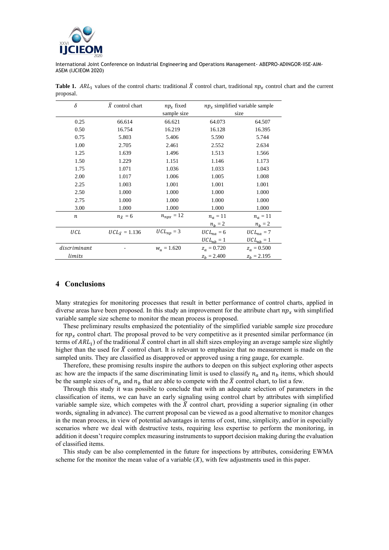

| $\delta$         | $X$ control chart       | $np_r$ fixed        | $npx$ simplified variable sample |                |
|------------------|-------------------------|---------------------|----------------------------------|----------------|
|                  |                         | sample size         | size                             |                |
| 0.25             | 66.614                  | 66.621              | 64.073                           | 64.507         |
| 0.50             | 16.754                  | 16.219              | 16.128                           | 16.395         |
| 0.75             | 5.803                   | 5.406               | 5.590                            | 5.744          |
| 1.00             | 2.705                   | 2.461               | 2.552                            | 2.634          |
| 1.25             | 1.639                   | 1.496               | 1.513                            | 1.566          |
| 1.50             | 1.229                   | 1.151               | 1.146                            | 1.173          |
| 1.75             | 1.071                   | 1.036               | 1.033                            | 1.043          |
| 2.00             | 1.017                   | 1.006               | 1.005                            | 1.008          |
| 2.25             | 1.003                   | 1.001               | 1.001                            | 1.001          |
| 2.50             | 1.000                   | 1.000               | 1.000                            | 1.000          |
| 2.75             | 1.000                   | 1.000               | 1.000                            | 1.000          |
| 3.00             | 1.000                   | 1.000               | 1.000                            | 1.000          |
| $\boldsymbol{n}$ | $n_{\bar{y}}=6$         | $n_{npx} = 12$      | $n_a = 11$                       | $n_a = 11$     |
|                  |                         |                     | $n_h = 2$                        | $n_h = 2$      |
| UCL              | $UCL_{\bar{Y}} = 1.136$ | $UCL_{np} = 3$      | $UCL_{na} = 6$                   | $UCL_{na} = 7$ |
|                  |                         |                     | $UCL_{nb} = 1$                   | $UCL_{nb} = 1$ |
| discriminant     |                         | $W_{\rm u} = 1.620$ | $z_a = 0.720$                    | $z_a = 0.500$  |
| limits           |                         |                     | $z_h = 2.400$                    | $z_h = 2.195$  |

**Table 1.** ARL<sub>1</sub> values of the control charts: traditional  $\bar{X}$  control chart, traditional  $np_x$  control chart and the current proposal.

#### **4 Conclusions**

Many strategies for monitoring processes that result in better performance of control charts, applied in diverse areas have been proposed. In this study an improvement for the attribute chart  $np_x$  with simplified variable sample size scheme to monitor the mean process is proposed.

These preliminary results emphasized the potentiality of the simplified variable sample size procedure for  $np_x$  control chart. The proposal proved to be very competitive as it presented similar performance (in terms of  $ARL<sub>1</sub>$  of the traditional  $\bar{X}$  control chart in all shift sizes employing an average sample size slightly higher than the used for  $\bar{X}$  control chart. It is relevant to emphasize that no measurement is made on the sampled units. They are classified as disapproved or approved using a ring gauge, for example.

Therefore, these promising results inspire the authors to deepen on this subject exploring other aspects as: how are the impacts if the same discriminating limit is used to classify  $n_a$  and  $n_b$  items, which should be the sample sizes of  $n_a$  and  $n_b$  that are able to compete with the  $\bar{X}$  control chart, to list a few.

Through this study it was possible to conclude that with an adequate selection of parameters in the classification of items, we can have an early signaling using control chart by attributes with simplified variable sample size, which competes with the  $\bar{X}$  control chart, providing a superior signaling (in other words, signaling in advance). The current proposal can be viewed as a good alternative to monitor changes in the mean process, in view of potential advantages in terms of cost, time, simplicity, and/or in especially scenarios where we deal with destructive tests, requiring less expertise to perform the monitoring, in addition it doesn't require complex measuring instruments to support decision making during the evaluation of classified items.

This study can be also complemented in the future for inspections by attributes, considering EWMA scheme for the monitor the mean value of a variable  $(X)$ , with few adjustments used in this paper.